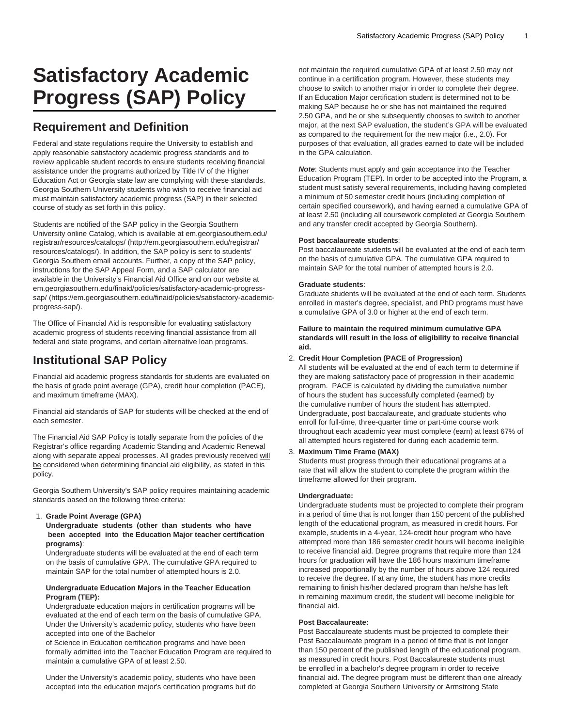# **Satisfactory Academic Progress (SAP) Policy**

# **Requirement and Definition**

Federal and state regulations require the University to establish and apply reasonable satisfactory academic progress standards and to review applicable student records to ensure students receiving financial assistance under the programs authorized by Title IV of the Higher Education Act or Georgia state law are complying with these standards. Georgia Southern University students who wish to receive financial aid must maintain satisfactory academic progress (SAP) in their selected course of study as set forth in this policy.

Students are notified of the SAP policy in the Georgia Southern University online Catalog, which is available at [em.georgiasouthern.edu/](http://em.georgiasouthern.edu/registrar/resources/catalogs/) [registrar/resources/catalogs/](http://em.georgiasouthern.edu/registrar/resources/catalogs/) ([http://em.georgiasouthern.edu/registrar/](http://em.georgiasouthern.edu/registrar/resources/catalogs/) [resources/catalogs/](http://em.georgiasouthern.edu/registrar/resources/catalogs/)). In addition, the SAP policy is sent to students' Georgia Southern email accounts. Further, a copy of the SAP policy, instructions for the SAP Appeal Form, and a SAP calculator are available in the University's Financial Aid Office and on our website at [em.georgiasouthern.edu/finaid/policies/satisfactory-academic-progress](https://em.georgiasouthern.edu/finaid/policies/satisfactory-academic-progress-sap/)[sap/](https://em.georgiasouthern.edu/finaid/policies/satisfactory-academic-progress-sap/) [\(https://em.georgiasouthern.edu/finaid/policies/satisfactory-academic](https://em.georgiasouthern.edu/finaid/policies/satisfactory-academic-progress-sap/)[progress-sap/\)](https://em.georgiasouthern.edu/finaid/policies/satisfactory-academic-progress-sap/).

The Office of Financial Aid is responsible for evaluating satisfactory academic progress of students receiving financial assistance from all federal and state programs, and certain alternative loan programs.

# **Institutional SAP Policy**

Financial aid academic progress standards for students are evaluated on the basis of grade point average (GPA), credit hour completion (PACE), and maximum timeframe (MAX).

Financial aid standards of SAP for students will be checked at the end of each semester.

The Financial Aid SAP Policy is totally separate from the policies of the Registrar's office regarding Academic Standing and Academic Renewal along with separate appeal processes. All grades previously received will be considered when determining financial aid eligibility, as stated in this policy.

Georgia Southern University's SAP policy requires maintaining academic standards based on the following three criteria:

# 1. **Grade Point Average (GPA)**

**Undergraduate students (other than students who have been accepted into the Education Major teacher certification programs)**:

Undergraduate students will be evaluated at the end of each term on the basis of cumulative GPA. The cumulative GPA required to maintain SAP for the total number of attempted hours is 2.0.

#### **Undergraduate Education Majors in the Teacher Education Program (TEP):**

Undergraduate education majors in certification programs will be evaluated at the end of each term on the basis of cumulative GPA. Under the University's academic policy, students who have been accepted into one of the Bachelor

of Science in Education certification programs and have been formally admitted into the Teacher Education Program are required to maintain a cumulative GPA of at least 2.50.

Under the University's academic policy, students who have been accepted into the education major's certification programs but do not maintain the required cumulative GPA of at least 2.50 may not continue in a certification program. However, these students may choose to switch to another major in order to complete their degree. If an Education Major certification student is determined not to be making SAP because he or she has not maintained the required 2.50 GPA, and he or she subsequently chooses to switch to another major, at the next SAP evaluation, the student's GPA will be evaluated as compared to the requirement for the new major (i.e., 2.0). For purposes of that evaluation, all grades earned to date will be included in the GPA calculation.

**Note**: Students must apply and gain acceptance into the Teacher Education Program (TEP). In order to be accepted into the Program, a student must satisfy several requirements, including having completed a minimum of 50 semester credit hours (including completion of certain specified coursework), and having earned a cumulative GPA of at least 2.50 (including all coursework completed at Georgia Southern and any transfer credit accepted by Georgia Southern).

#### **Post baccalaureate students**:

Post baccalaureate students will be evaluated at the end of each term on the basis of cumulative GPA. The cumulative GPA required to maintain SAP for the total number of attempted hours is 2.0.

# **Graduate students**:

Graduate students will be evaluated at the end of each term. Students enrolled in master's degree, specialist, and PhD programs must have a cumulative GPA of 3.0 or higher at the end of each term.

**Failure to maintain the required minimum cumulative GPA standards will result in the loss of eligibility to receive financial aid.**

# 2. **Credit Hour Completion (PACE of Progression)**

All students will be evaluated at the end of each term to determine if they are making satisfactory pace of progression in their academic program. PACE is calculated by dividing the cumulative number of hours the student has successfully completed (earned) by the cumulative number of hours the student has attempted. Undergraduate, post baccalaureate, and graduate students who enroll for full-time, three-quarter time or part-time course work throughout each academic year must complete (earn) at least 67% of all attempted hours registered for during each academic term.

# 3. **Maximum Time Frame (MAX)**

Students must progress through their educational programs at a rate that will allow the student to complete the program within the timeframe allowed for their program.

# **Undergraduate:**

Undergraduate students must be projected to complete their program in a period of time that is not longer than 150 percent of the published length of the educational program, as measured in credit hours. For example, students in a 4-year, 124-credit hour program who have attempted more than 186 semester credit hours will become ineligible to receive financial aid. Degree programs that require more than 124 hours for graduation will have the 186 hours maximum timeframe increased proportionally by the number of hours above 124 required to receive the degree. If at any time, the student has more credits remaining to finish his/her declared program than he/she has left in remaining maximum credit, the student will become ineligible for financial aid.

# **Post Baccalaureate:**

Post Baccalaureate students must be projected to complete their Post Baccalaureate program in a period of time that is not longer than 150 percent of the published length of the educational program, as measured in credit hours. Post Baccalaureate students must be enrolled in a bachelor's degree program in order to receive financial aid. The degree program must be different than one already completed at Georgia Southern University or Armstrong State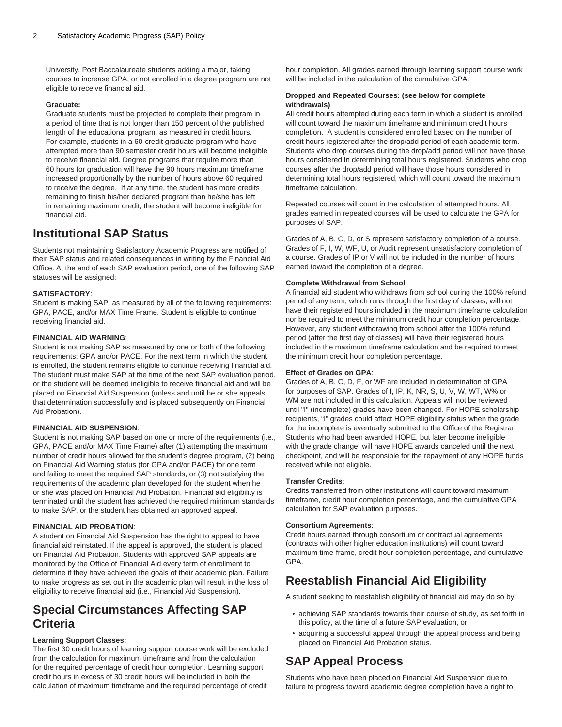University. Post Baccalaureate students adding a major, taking courses to increase GPA, or not enrolled in a degree program are not eligible to receive financial aid.

# **Graduate:**

Graduate students must be projected to complete their program in a period of time that is not longer than 150 percent of the published length of the educational program, as measured in credit hours. For example, students in a 60-credit graduate program who have attempted more than 90 semester credit hours will become ineligible to receive financial aid. Degree programs that require more than 60 hours for graduation will have the 90 hours maximum timeframe increased proportionally by the number of hours above 60 required to receive the degree. If at any time, the student has more credits remaining to finish his/her declared program than he/she has left in remaining maximum credit, the student will become ineligible for financial aid.

# **Institutional SAP Status**

Students not maintaining Satisfactory Academic Progress are notified of their SAP status and related consequences in writing by the Financial Aid Office. At the end of each SAP evaluation period, one of the following SAP statuses will be assigned:

# **SATISFACTORY**:

Student is making SAP, as measured by all of the following requirements: GPA, PACE, and/or MAX Time Frame. Student is eligible to continue receiving financial aid.

# **FINANCIAL AID WARNING**:

Student is not making SAP as measured by one or both of the following requirements: GPA and/or PACE. For the next term in which the student is enrolled, the student remains eligible to continue receiving financial aid. The student must make SAP at the time of the next SAP evaluation period, or the student will be deemed ineligible to receive financial aid and will be placed on Financial Aid Suspension (unless and until he or she appeals that determination successfully and is placed subsequently on Financial Aid Probation).

# **FINANCIAL AID SUSPENSION**:

Student is not making SAP based on one or more of the requirements (i.e., GPA, PACE and/or MAX Time Frame) after (1) attempting the maximum number of credit hours allowed for the student's degree program, (2) being on Financial Aid Warning status (for GPA and/or PACE) for one term and failing to meet the required SAP standards, or (3) not satisfying the requirements of the academic plan developed for the student when he or she was placed on Financial Aid Probation. Financial aid eligibility is terminated until the student has achieved the required minimum standards to make SAP, or the student has obtained an approved appeal.

# **FINANCIAL AID PROBATION**:

A student on Financial Aid Suspension has the right to appeal to have financial aid reinstated. If the appeal is approved, the student is placed on Financial Aid Probation. Students with approved SAP appeals are monitored by the Office of Financial Aid every term of enrollment to determine if they have achieved the goals of their academic plan. Failure to make progress as set out in the academic plan will result in the loss of eligibility to receive financial aid (i.e., Financial Aid Suspension).

# **Special Circumstances Affecting SAP Criteria**

# **Learning Support Classes:**

The first 30 credit hours of learning support course work will be excluded from the calculation for maximum timeframe and from the calculation for the required percentage of credit hour completion. Learning support credit hours in excess of 30 credit hours will be included in both the calculation of maximum timeframe and the required percentage of credit

hour completion. All grades earned through learning support course work will be included in the calculation of the cumulative GPA.

# **Dropped and Repeated Courses: (see below for complete withdrawals)**

All credit hours attempted during each term in which a student is enrolled will count toward the maximum timeframe and minimum credit hours completion. A student is considered enrolled based on the number of credit hours registered after the drop/add period of each academic term. Students who drop courses during the drop/add period will not have those hours considered in determining total hours registered. Students who drop courses after the drop/add period will have those hours considered in determining total hours registered, which will count toward the maximum timeframe calculation.

Repeated courses will count in the calculation of attempted hours. All grades earned in repeated courses will be used to calculate the GPA for purposes of SAP.

Grades of A, B, C, D, or S represent satisfactory completion of a course. Grades of F, I, W, WF, U, or Audit represent unsatisfactory completion of a course. Grades of IP or V will not be included in the number of hours earned toward the completion of a degree.

# **Complete Withdrawal from School**:

A financial aid student who withdraws from school during the 100% refund period of any term, which runs through the first day of classes, will not have their registered hours included in the maximum timeframe calculation nor be required to meet the minimum credit hour completion percentage. However, any student withdrawing from school after the 100% refund period (after the first day of classes) will have their registered hours included in the maximum timeframe calculation and be required to meet the minimum credit hour completion percentage.

# **Effect of Grades on GPA**:

Grades of A, B, C, D, F, or WF are included in determination of GPA for purposes of SAP. Grades of I, IP, K, NR, S, U, V, W, WT, W% or WM are not included in this calculation. Appeals will not be reviewed until "I" (incomplete) grades have been changed. For HOPE scholarship recipients, "I" grades could affect HOPE eligibility status when the grade for the incomplete is eventually submitted to the Office of the Registrar. Students who had been awarded HOPE, but later become ineligible with the grade change, will have HOPE awards canceled until the next checkpoint, and will be responsible for the repayment of any HOPE funds received while not eligible.

# **Transfer Credits**:

Credits transferred from other institutions will count toward maximum timeframe, credit hour completion percentage, and the cumulative GPA calculation for SAP evaluation purposes.

# **Consortium Agreements**:

Credit hours earned through consortium or contractual agreements (contracts with other higher education institutions) will count toward maximum time-frame, credit hour completion percentage, and cumulative GPA.

# **Reestablish Financial Aid Eligibility**

A student seeking to reestablish eligibility of financial aid may do so by:

- achieving SAP standards towards their course of study, as set forth in this policy, at the time of a future SAP evaluation, or
- acquiring a successful appeal through the appeal process and being placed on Financial Aid Probation status.

# **SAP Appeal Process**

Students who have been placed on Financial Aid Suspension due to failure to progress toward academic degree completion have a right to